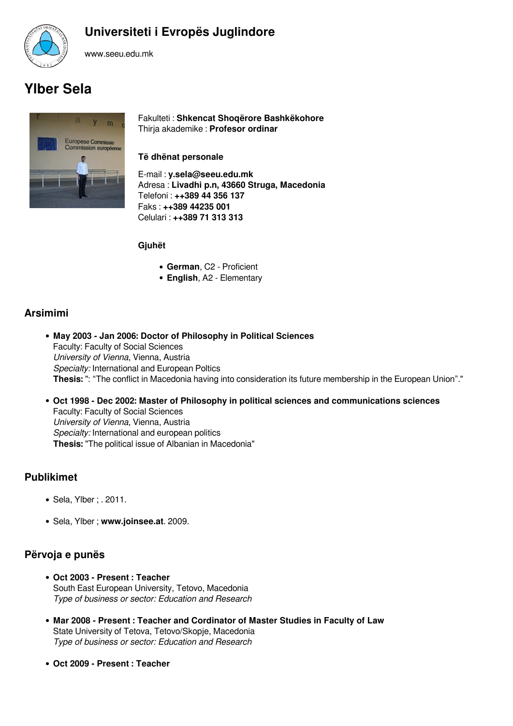

## **Universiteti i Evropës Juglindore**

www.seeu.edu.mk

# **Ylber Sela**



Fakulteti : **Shkencat Shoqërore Bashkëkohore** Thirja akademike : **Profesor ordinar**

#### **Të dhënat personale**

E-mail : **y.sela@seeu.edu.mk** Adresa : **Livadhi p.n, 43660 Struga, Macedonia** Telefoni : **++389 44 356 137** Faks : **++389 44235 001** Celulari : **++389 71 313 313**

#### **Gjuhët**

- **German**, C2 Proficient
- **English**, A2 Elementary

### **Arsimimi**

- **May 2003 Jan 2006: Doctor of Philosophy in Political Sciences** Faculty: Faculty of Social Sciences *University of Vienna*, Vienna, Austria *Specialty:* International and European Poltics **Thesis:** ": "The conflict in Macedonia having into consideration its future membership in the European Union"."
- **Oct 1998 Dec 2002: Master of Philosophy in political sciences and communications sciences** Faculty: Faculty of Social Sciences *University of Vienna*, Vienna, Austria *Specialty:* International and european politics **Thesis:** "The political issue of Albanian in Macedonia"

#### **Publikimet**

- Sela, Ylber ; . 2011.
- Sela, Ylber ; **www.joinsee.at**. 2009.

#### **Përvoja e punës**

- **Oct 2003 Present : Teacher** South East European University, Tetovo, Macedonia *Type of business or sector: Education and Research*
- **Mar 2008 Present : Teacher and Cordinator of Master Studies in Faculty of Law** State University of Tetova, Tetovo/Skopje, Macedonia *Type of business or sector: Education and Research*
- **Oct 2009 Present : Teacher**